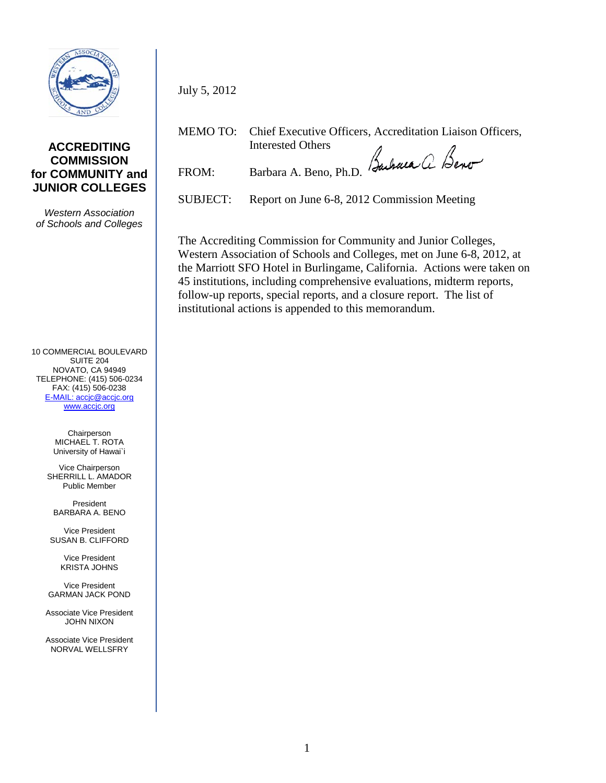

### **ACCREDITING COMMISSION for COMMUNITY and JUNIOR COLLEGES**

*Western Association of Schools and Colleges*

10 COMMERCIAL BOULEVARD SUITE 204 NOVATO, CA 94949 TELEPHONE: (415) 506-0234 FAX: (415) 506-0238 [E-MAIL: accjc@accjc.org](mailto:accjc@accjc.org) [www.accjc.org](http://www.accjc.org/)

> **Chairperson** MICHAEL T. ROTA University of Hawai`i

Vice Chairperson SHERRILL L. AMADOR Public Member

President BARBARA A. BENO

Vice President SUSAN B. CLIFFORD

> Vice President KRISTA JOHNS

Vice President GARMAN JACK POND

Associate Vice President JOHN NIXON

Associate Vice President NORVAL WELLSFRY

MEMO TO: Chief Executive Officers, Accreditation Liaison Officers, Interested Others FROM: Barbara A. Beno, Ph.D. Bachaca a Beno

July 5, 2012

SUBJECT: Report on June 6-8, 2012 Commission Meeting

The Accrediting Commission for Community and Junior Colleges, Western Association of Schools and Colleges, met on June 6-8, 2012, at the Marriott SFO Hotel in Burlingame, California. Actions were taken on 45 institutions, including comprehensive evaluations, midterm reports, follow-up reports, special reports, and a closure report. The list of institutional actions is appended to this memorandum.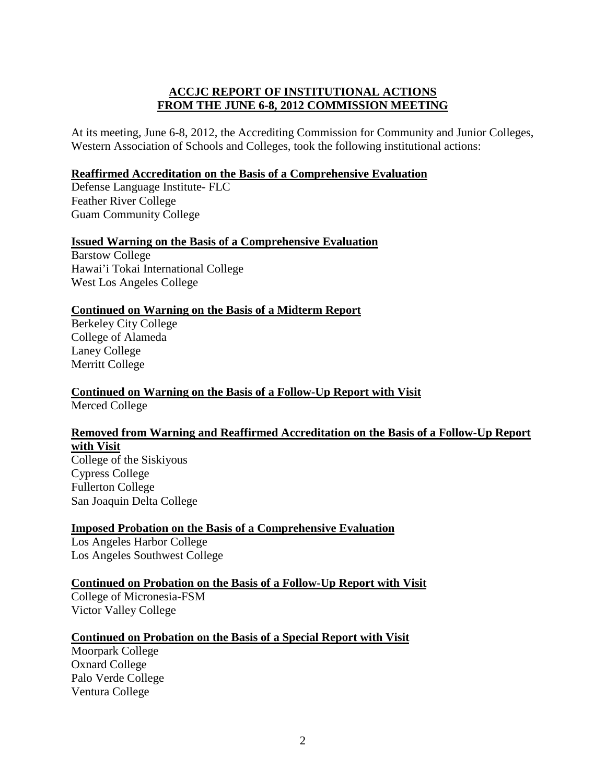## **ACCJC REPORT OF INSTITUTIONAL ACTIONS FROM THE JUNE 6-8, 2012 COMMISSION MEETING**

At its meeting, June 6-8, 2012, the Accrediting Commission for Community and Junior Colleges, Western Association of Schools and Colleges, took the following institutional actions:

#### **Reaffirmed Accreditation on the Basis of a Comprehensive Evaluation**

Defense Language Institute- FLC Feather River College Guam Community College

### **Issued Warning on the Basis of a Comprehensive Evaluation**

Barstow College Hawai'i Tokai International College West Los Angeles College

### **Continued on Warning on the Basis of a Midterm Report**

Berkeley City College College of Alameda Laney College Merritt College

### **Continued on Warning on the Basis of a Follow-Up Report with Visit** Merced College

# **Removed from Warning and Reaffirmed Accreditation on the Basis of a Follow-Up Report with Visit**

College of the Siskiyous Cypress College Fullerton College San Joaquin Delta College

## **Imposed Probation on the Basis of a Comprehensive Evaluation**

Los Angeles Harbor College Los Angeles Southwest College

## **Continued on Probation on the Basis of a Follow-Up Report with Visit**

College of Micronesia-FSM Victor Valley College

#### **Continued on Probation on the Basis of a Special Report with Visit**

Moorpark College Oxnard College Palo Verde College Ventura College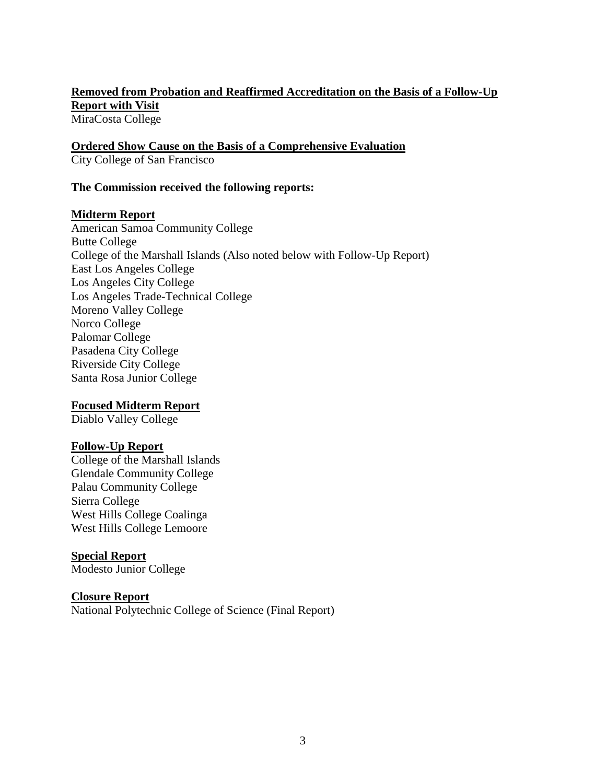### **Removed from Probation and Reaffirmed Accreditation on the Basis of a Follow-Up Report with Visit** MiraCosta College

**Ordered Show Cause on the Basis of a Comprehensive Evaluation** City College of San Francisco

#### **The Commission received the following reports:**

#### **Midterm Report**

American Samoa Community College Butte College College of the Marshall Islands (Also noted below with Follow-Up Report) East Los Angeles College Los Angeles City College Los Angeles Trade-Technical College Moreno Valley College Norco College Palomar College Pasadena City College Riverside City College Santa Rosa Junior College

#### **Focused Midterm Report**

Diablo Valley College

#### **Follow-Up Report**

College of the Marshall Islands Glendale Community College Palau Community College Sierra College West Hills College Coalinga West Hills College Lemoore

#### **Special Report**

Modesto Junior College

#### **Closure Report**

National Polytechnic College of Science (Final Report)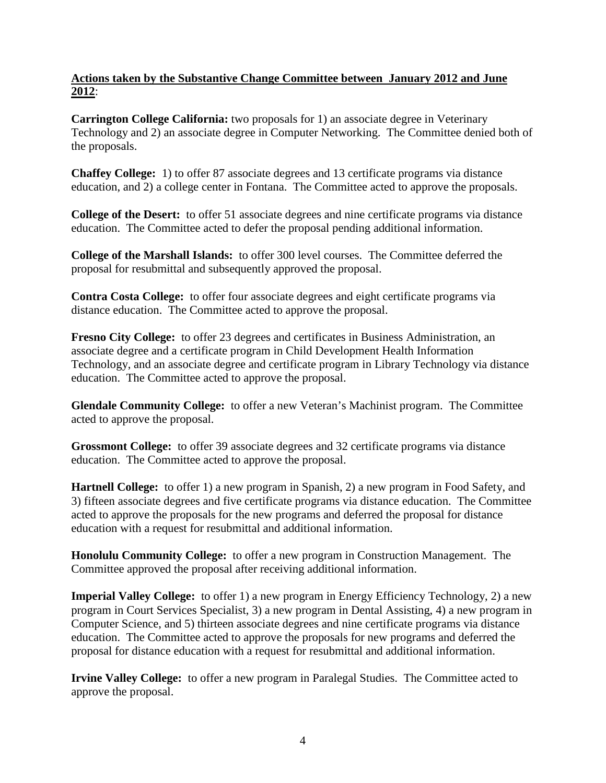## **Actions taken by the Substantive Change Committee between January 2012 and June 2012**:

**Carrington College California:** two proposals for 1) an associate degree in Veterinary Technology and 2) an associate degree in Computer Networking. The Committee denied both of the proposals.

**Chaffey College:** 1) to offer 87 associate degrees and 13 certificate programs via distance education, and 2) a college center in Fontana. The Committee acted to approve the proposals.

**College of the Desert:** to offer 51 associate degrees and nine certificate programs via distance education. The Committee acted to defer the proposal pending additional information.

**College of the Marshall Islands:** to offer 300 level courses. The Committee deferred the proposal for resubmittal and subsequently approved the proposal.

**Contra Costa College:** to offer four associate degrees and eight certificate programs via distance education. The Committee acted to approve the proposal.

**Fresno City College:** to offer 23 degrees and certificates in Business Administration, an associate degree and a certificate program in Child Development Health Information Technology, and an associate degree and certificate program in Library Technology via distance education. The Committee acted to approve the proposal.

**Glendale Community College:** to offer a new Veteran's Machinist program. The Committee acted to approve the proposal.

**Grossmont College:** to offer 39 associate degrees and 32 certificate programs via distance education. The Committee acted to approve the proposal.

**Hartnell College:** to offer 1) a new program in Spanish, 2) a new program in Food Safety, and 3) fifteen associate degrees and five certificate programs via distance education. The Committee acted to approve the proposals for the new programs and deferred the proposal for distance education with a request for resubmittal and additional information.

**Honolulu Community College:** to offer a new program in Construction Management. The Committee approved the proposal after receiving additional information.

**Imperial Valley College:** to offer 1) a new program in Energy Efficiency Technology, 2) a new program in Court Services Specialist, 3) a new program in Dental Assisting, 4) a new program in Computer Science, and 5) thirteen associate degrees and nine certificate programs via distance education. The Committee acted to approve the proposals for new programs and deferred the proposal for distance education with a request for resubmittal and additional information.

**Irvine Valley College:** to offer a new program in Paralegal Studies. The Committee acted to approve the proposal.